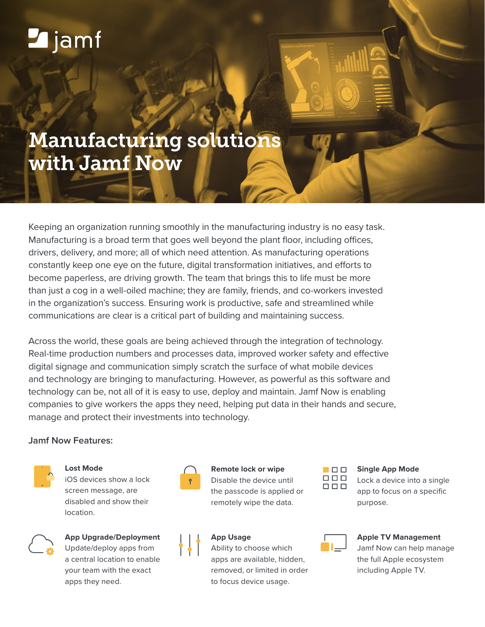# **Z**jamf

## Manufacturing solutions with Jamf Now

Keeping an organization running smoothly in the manufacturing industry is no easy task. Manufacturing is a broad term that goes well beyond the plant floor, including offices, drivers, delivery, and more; all of which need attention. As manufacturing operations constantly keep one eye on the future, digital transformation initiatives, and efforts to become paperless, are driving growth. The team that brings this to life must be more than just a cog in a well-oiled machine; they are family, friends, and co-workers invested in the organization's success. Ensuring work is productive, safe and streamlined while communications are clear is a critical part of building and maintaining success.

Across the world, these goals are being achieved through the integration of technology. Real-time production numbers and processes data, improved worker safety and effective digital signage and communication simply scratch the surface of what mobile devices and technology are bringing to manufacturing. However, as powerful as this software and technology can be, not all of it is easy to use, deploy and maintain. Jamf Now is enabling companies to give workers the apps they need, helping put data in their hands and secure, manage and protect their investments into technology.

#### **Jamf Now Features:**



**Lost Mode**

iOS devices show a lock screen message, are disabled and show their location.



**App Upgrade/Deployment** Update/deploy apps from

a central location to enable your team with the exact apps they need.



**Remote lock or wipe** Disable the device until the passcode is applied or remotely wipe the data.

#### **App Usage**

Ability to choose which apps are available, hidden, removed, or limited in order to focus device usage.



#### **Single App Mode**

Lock a device into a single app to focus on a specific purpose.



#### **Apple TV Management**

Jamf Now can help manage the full Apple ecosystem including Apple TV.